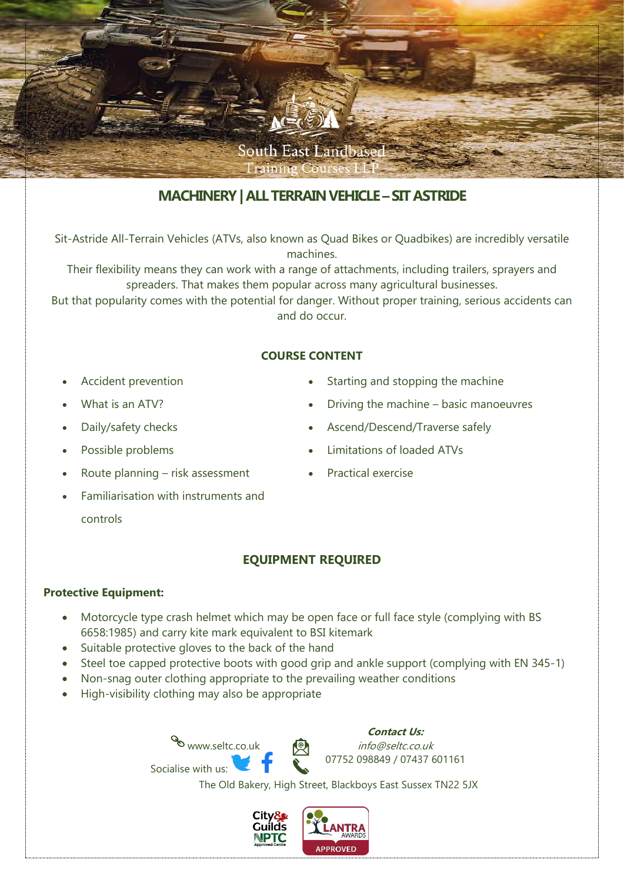

# **MACHINERY| ALL TERRAIN VEHICLE –SIT ASTRIDE**

Sit-Astride All-Terrain Vehicles (ATVs, also known as Quad Bikes or Quadbikes) are incredibly versatile machines.

Their flexibility means they can work with a range of attachments, including trailers, sprayers and spreaders. That makes them popular across many agricultural businesses.

But that popularity comes with the potential for danger. Without proper training, serious accidents can and do occur.

#### **COURSE CONTENT**

- Accident prevention
- What is an ATV?
- Daily/safety checks
- Possible problems
- Route planning risk assessment
- Familiarisation with instruments and controls
- Starting and stopping the machine
- Driving the machine basic manoeuvres
- Ascend/Descend/Traverse safely
- Limitations of loaded ATVs
- Practical exercise

## **EQUIPMENT REQUIRED**

### **Protective Equipment:**

- Motorcycle type crash helmet which may be open face or full face style (complying with BS 6658:1985) and carry kite mark equivalent to BSI kitemark
- Suitable protective gloves to the back of the hand
- Steel toe capped protective boots with good grip and ankle support (complying with EN 345-1)
- Non-snag outer clothing appropriate to the prevailing weather conditions
- High-visibility clothing may also be appropriate

www.seltc.co.uk Socialise with us:



info@seltc.co.uk 07752 098849 / 07437 601161

The Old Bakery, High Street, Blackboys East Sussex TN22 5JX